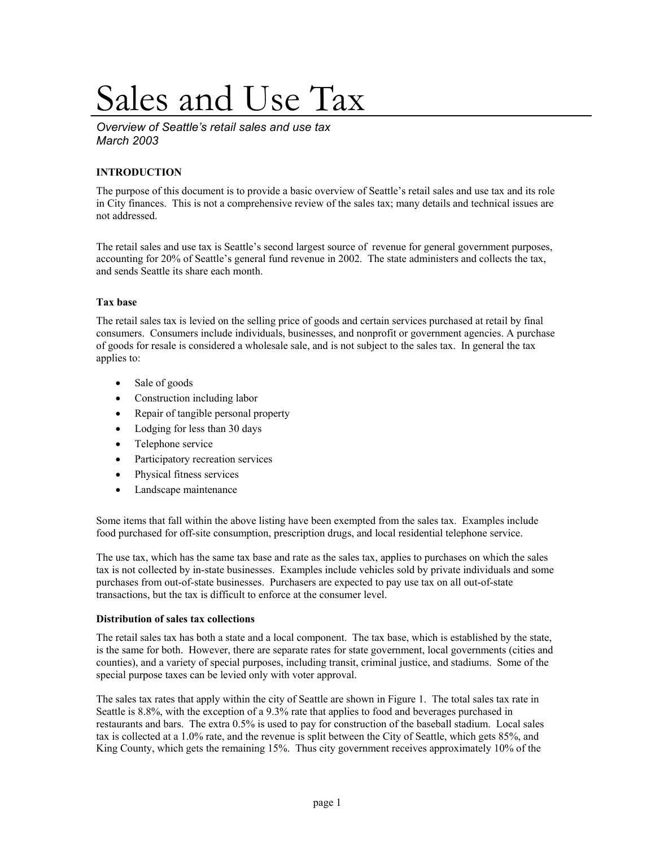# Sales and Use Tax

*Overview of Seattle's retail sales and use tax March 2003* 

## **INTRODUCTION**

The purpose of this document is to provide a basic overview of Seattle's retail sales and use tax and its role in City finances. This is not a comprehensive review of the sales tax; many details and technical issues are not addressed.

The retail sales and use tax is Seattle's second largest source of revenue for general government purposes, accounting for 20% of Seattle's general fund revenue in 2002. The state administers and collects the tax, and sends Seattle its share each month.

## **Tax base**

The retail sales tax is levied on the selling price of goods and certain services purchased at retail by final consumers. Consumers include individuals, businesses, and nonprofit or government agencies. A purchase of goods for resale is considered a wholesale sale, and is not subject to the sales tax. In general the tax applies to:

- Sale of goods
- Construction including labor
- Repair of tangible personal property
- Lodging for less than 30 days
- Telephone service
- Participatory recreation services
- Physical fitness services
- Landscape maintenance

Some items that fall within the above listing have been exempted from the sales tax. Examples include food purchased for off-site consumption, prescription drugs, and local residential telephone service.

The use tax, which has the same tax base and rate as the sales tax, applies to purchases on which the sales tax is not collected by in-state businesses. Examples include vehicles sold by private individuals and some purchases from out-of-state businesses. Purchasers are expected to pay use tax on all out-of-state transactions, but the tax is difficult to enforce at the consumer level.

## **Distribution of sales tax collections**

The retail sales tax has both a state and a local component. The tax base, which is established by the state, is the same for both. However, there are separate rates for state government, local governments (cities and counties), and a variety of special purposes, including transit, criminal justice, and stadiums. Some of the special purpose taxes can be levied only with voter approval.

The sales tax rates that apply within the city of Seattle are shown in Figure 1. The total sales tax rate in Seattle is 8.8%, with the exception of a 9.3% rate that applies to food and beverages purchased in restaurants and bars. The extra 0.5% is used to pay for construction of the baseball stadium. Local sales tax is collected at a 1.0% rate, and the revenue is split between the City of Seattle, which gets 85%, and King County, which gets the remaining 15%. Thus city government receives approximately 10% of the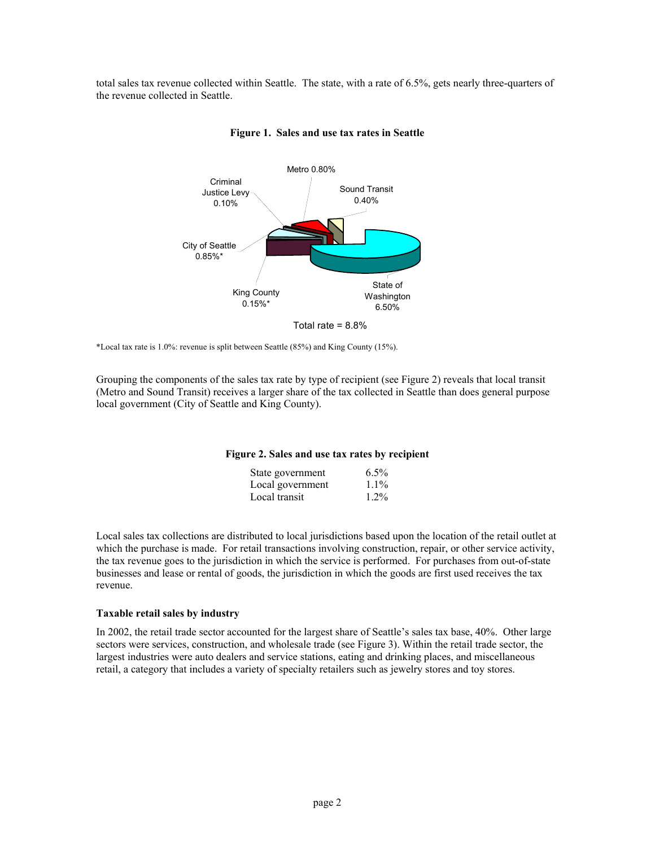total sales tax revenue collected within Seattle. The state, with a rate of 6.5%, gets nearly three-quarters of the revenue collected in Seattle.



#### **Figure 1. Sales and use tax rates in Seattle**

\*Local tax rate is 1.0%: revenue is split between Seattle (85%) and King County (15%).

Grouping the components of the sales tax rate by type of recipient (see Figure 2) reveals that local transit (Metro and Sound Transit) receives a larger share of the tax collected in Seattle than does general purpose local government (City of Seattle and King County).

### **Figure 2. Sales and use tax rates by recipient**

| State government | $6.5\%$                     |
|------------------|-----------------------------|
|                  | $1.1\%$<br>Local government |
| Local transit    | $1.2\%$                     |

Local sales tax collections are distributed to local jurisdictions based upon the location of the retail outlet at which the purchase is made. For retail transactions involving construction, repair, or other service activity, the tax revenue goes to the jurisdiction in which the service is performed. For purchases from out-of-state businesses and lease or rental of goods, the jurisdiction in which the goods are first used receives the tax revenue.

### **Taxable retail sales by industry**

In 2002, the retail trade sector accounted for the largest share of Seattle's sales tax base, 40%. Other large sectors were services, construction, and wholesale trade (see Figure 3). Within the retail trade sector, the largest industries were auto dealers and service stations, eating and drinking places, and miscellaneous retail, a category that includes a variety of specialty retailers such as jewelry stores and toy stores.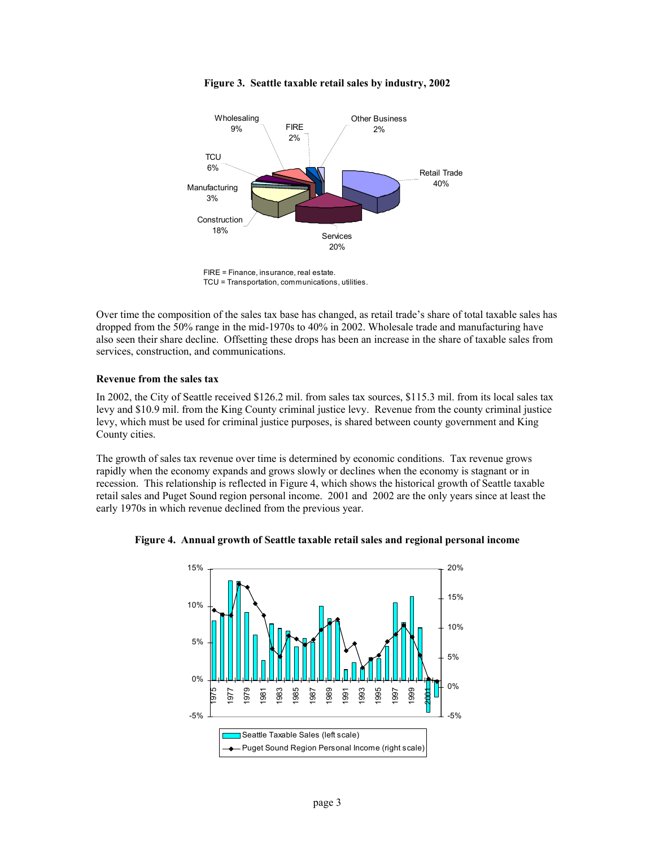

**Figure 3. Seattle taxable retail sales by industry, 2002** 

FIRE = Finance, insurance, real estate. TCU = Transportation, communications, utilities.

Over time the composition of the sales tax base has changed, as retail trade's share of total taxable sales has dropped from the 50% range in the mid-1970s to 40% in 2002. Wholesale trade and manufacturing have also seen their share decline. Offsetting these drops has been an increase in the share of taxable sales from services, construction, and communications.

## **Revenue from the sales tax**

In 2002, the City of Seattle received \$126.2 mil. from sales tax sources, \$115.3 mil. from its local sales tax levy and \$10.9 mil. from the King County criminal justice levy. Revenue from the county criminal justice levy, which must be used for criminal justice purposes, is shared between county government and King County cities.

The growth of sales tax revenue over time is determined by economic conditions. Tax revenue grows rapidly when the economy expands and grows slowly or declines when the economy is stagnant or in recession. This relationship is reflected in Figure 4, which shows the historical growth of Seattle taxable retail sales and Puget Sound region personal income. 2001 and 2002 are the only years since at least the early 1970s in which revenue declined from the previous year.



**Figure 4. Annual growth of Seattle taxable retail sales and regional personal income**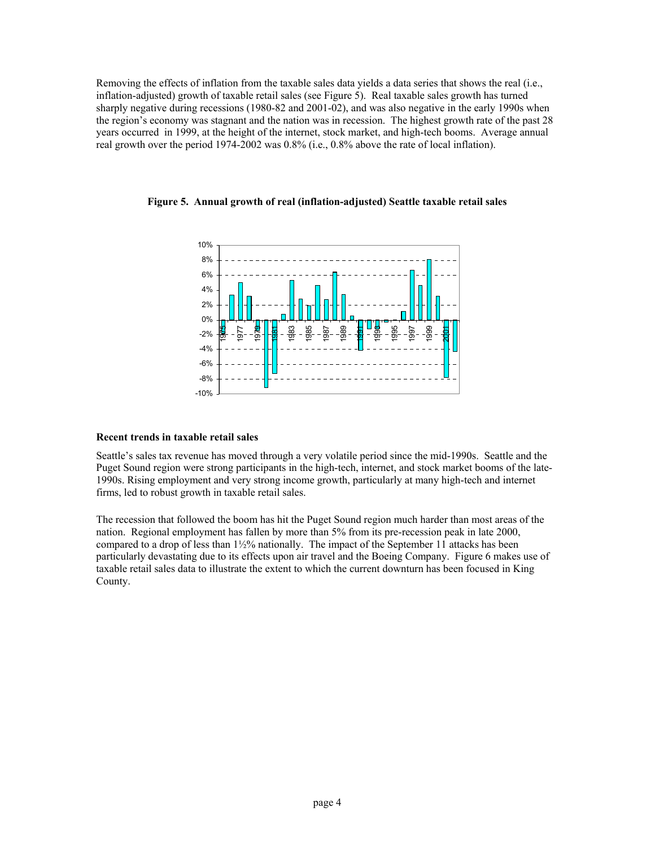Removing the effects of inflation from the taxable sales data yields a data series that shows the real (i.e., inflation-adjusted) growth of taxable retail sales (see Figure 5). Real taxable sales growth has turned sharply negative during recessions (1980-82 and 2001-02), and was also negative in the early 1990s when the region's economy was stagnant and the nation was in recession. The highest growth rate of the past 28 years occurred in 1999, at the height of the internet, stock market, and high-tech booms. Average annual real growth over the period 1974-2002 was 0.8% (i.e., 0.8% above the rate of local inflation).



**Figure 5. Annual growth of real (inflation-adjusted) Seattle taxable retail sales** 

## **Recent trends in taxable retail sales**

Seattle's sales tax revenue has moved through a very volatile period since the mid-1990s. Seattle and the Puget Sound region were strong participants in the high-tech, internet, and stock market booms of the late-1990s. Rising employment and very strong income growth, particularly at many high-tech and internet firms, led to robust growth in taxable retail sales.

The recession that followed the boom has hit the Puget Sound region much harder than most areas of the nation. Regional employment has fallen by more than 5% from its pre-recession peak in late 2000, compared to a drop of less than  $1\frac{1}{2}\%$  nationally. The impact of the September 11 attacks has been particularly devastating due to its effects upon air travel and the Boeing Company. Figure 6 makes use of taxable retail sales data to illustrate the extent to which the current downturn has been focused in King County.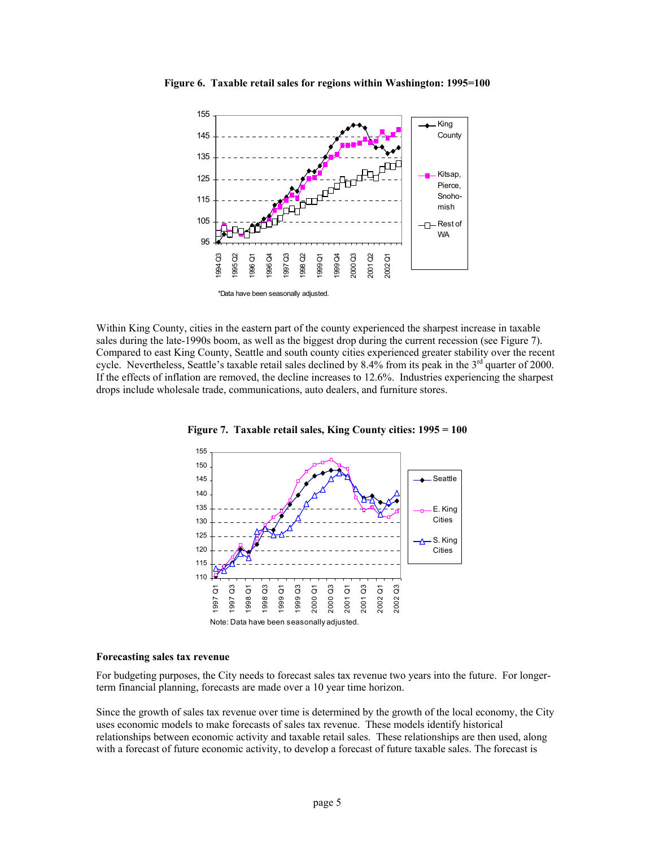

**Figure 6. Taxable retail sales for regions within Washington: 1995=100** 

Within King County, cities in the eastern part of the county experienced the sharpest increase in taxable sales during the late-1990s boom, as well as the biggest drop during the current recession (see Figure 7). Compared to east King County, Seattle and south county cities experienced greater stability over the recent cycle. Nevertheless, Seattle's taxable retail sales declined by 8.4% from its peak in the  $3<sup>rd</sup>$  quarter of 2000. If the effects of inflation are removed, the decline increases to 12.6%. Industries experiencing the sharpest drops include wholesale trade, communications, auto dealers, and furniture stores.





#### **Forecasting sales tax revenue**

For budgeting purposes, the City needs to forecast sales tax revenue two years into the future. For longerterm financial planning, forecasts are made over a 10 year time horizon.

Since the growth of sales tax revenue over time is determined by the growth of the local economy, the City uses economic models to make forecasts of sales tax revenue. These models identify historical relationships between economic activity and taxable retail sales. These relationships are then used, along with a forecast of future economic activity, to develop a forecast of future taxable sales. The forecast is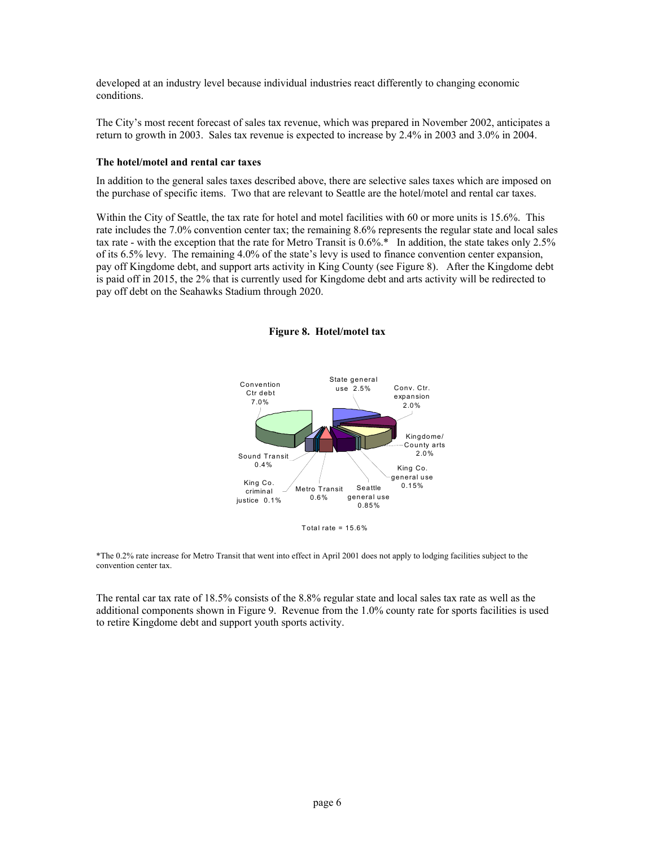developed at an industry level because individual industries react differently to changing economic conditions.

The City's most recent forecast of sales tax revenue, which was prepared in November 2002, anticipates a return to growth in 2003. Sales tax revenue is expected to increase by 2.4% in 2003 and 3.0% in 2004.

## **The hotel/motel and rental car taxes**

In addition to the general sales taxes described above, there are selective sales taxes which are imposed on the purchase of specific items. Two that are relevant to Seattle are the hotel/motel and rental car taxes.

Within the City of Seattle, the tax rate for hotel and motel facilities with 60 or more units is 15.6%. This rate includes the 7.0% convention center tax; the remaining 8.6% represents the regular state and local sales tax rate - with the exception that the rate for Metro Transit is  $0.6\%$ .<sup>\*</sup> In addition, the state takes only 2.5% of its 6.5% levy. The remaining 4.0% of the state's levy is used to finance convention center expansion, pay off Kingdome debt, and support arts activity in King County (see Figure 8). After the Kingdome debt is paid off in 2015, the 2% that is currently used for Kingdome debt and arts activity will be redirected to pay off debt on the Seahawks Stadium through 2020.



**Figure 8. Hotel/motel tax** 

Total rate =  $15.6%$ 

\*The 0.2% rate increase for Metro Transit that went into effect in April 2001 does not apply to lodging facilities subject to the convention center tax.

The rental car tax rate of 18.5% consists of the 8.8% regular state and local sales tax rate as well as the additional components shown in Figure 9. Revenue from the 1.0% county rate for sports facilities is used to retire Kingdome debt and support youth sports activity.